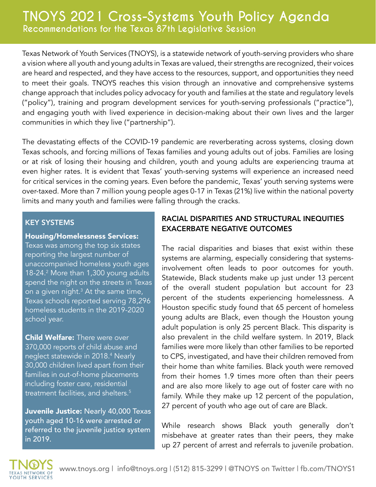Texas Network of Youth Services (TNOYS), is a statewide network of youth-serving providers who share a vision where all youth and young adults in Texas are valued, their strengths are recognized, their voices are heard and respected, and they have access to the resources, support, and opportunities they need to meet their goals. TNOYS reaches this vision through an innovative and comprehensive systems change approach that includes policy advocacy for youth and families at the state and regulatory levels ("policy"), training and program development services for youth-serving professionals ("practice"), and engaging youth with lived experience in decision-making about their own lives and the larger communities in which they live ("partnership").

The devastating effects of the COVID-19 pandemic are reverberating across systems, closing down Texas schools, and forcing millions of Texas families and young adults out of jobs. Families are losing or at risk of losing their housing and children, youth and young adults are experiencing trauma at even higher rates. It is evident that Texas' youth-serving systems will experience an increased need for critical services in the coming years. Even before the pandemic, Texas' youth serving systems were over-taxed. More than 7 million young people ages 0-17 in Texas (21%) live within the national poverty limits and many youth and families were falling through the cracks.

#### KEY SYSTEMS

#### Housing/Homelessness Services:

Texas was among the top six states reporting the largest number of unaccompanied homeless youth ages 18-24.<sup>2</sup> More than 1,300 young adults spend the night on the streets in Texas on a given night. $^3$  At the same time, Texas schools reported serving 78,296 homeless students in the 2019-2020 school year.

**Child Welfare:** There were over 370,000 reports of child abuse and neglect statewide in 2018.4 Nearly 30,000 children lived apart from their families in out-of-home placements including foster care, residential treatment facilities, and shelters.<sup>5</sup>

Juvenile Justice: Nearly 40,000 Texas youth aged 10-16 were arrested or referred to the juvenile justice system in 2019.

## RACIAL DISPARITIES AND STRUCTURAL INEQUITIES EXACERBATE NEGATIVE OUTCOMES

The racial disparities and biases that exist within these systems are alarming, especially considering that systemsinvolvement often leads to poor outcomes for youth. Statewide, Black students make up just under 13 percent of the overall student population but account for 23 percent of the students experiencing homelessness. A Houston specific study found that 65 percent of homeless young adults are Black, even though the Houston young adult population is only 25 percent Black. This disparity is also prevalent in the child welfare system. In 2019, Black families were more likely than other families to be reported to CPS, investigated, and have their children removed from their home than white families. Black youth were removed from their homes 1.9 times more often than their peers and are also more likely to age out of foster care with no family. While they make up 12 percent of the population, 27 percent of youth who age out of care are Black.

While research shows Black youth generally don't misbehave at greater rates than their peers, they make up 27 percent of arrest and referrals to juvenile probation.

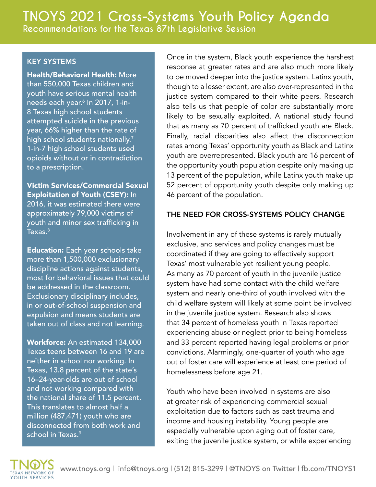#### KEY SYSTEMS

Health/Behavioral Health: More than 550,000 Texas children and youth have serious mental health needs each year.6 In 2017, 1-in-8 Texas high school students attempted suicide in the previous year, 66% higher than the rate of high school students nationally.<sup>7</sup> 1-in-7 high school students used opioids without or in contradiction to a prescription.

Victim Services/Commercial Sexual Exploitation of Youth (CSEY): In 2016, it was estimated there were approximately 79,000 victims of youth and minor sex trafficking in  $Texas.<sup>8</sup>$ 

**Education:** Each year schools take more than 1,500,000 exclusionary discipline actions against students, most for behavioral issues that could be addressed in the classroom. Exclusionary disciplinary includes, in or out-of-school suspension and expulsion and means students are taken out of class and not learning.

Workforce: An estimated 134,000 Texas teens between 16 and 19 are neither in school nor working. In Texas, 13.8 percent of the state's 16–24-year-olds are out of school and not working compared with the national share of 11.5 percent. This translates to almost half a million (487,471) youth who are disconnected from both work and school in Texas.<sup>9</sup>

Once in the system, Black youth experience the harshest response at greater rates and are also much more likely to be moved deeper into the justice system. Latinx youth, though to a lesser extent, are also over-represented in the justice system compared to their white peers. Research also tells us that people of color are substantially more likely to be sexually exploited. A national study found that as many as 70 percent of trafficked youth are Black. Finally, racial disparities also affect the disconnection rates among Texas' opportunity youth as Black and Latinx youth are overrepresented. Black youth are 16 percent of the opportunity youth population despite only making up 13 percent of the population, while Latinx youth make up 52 percent of opportunity youth despite only making up 46 percent of the population.

### THE NEED FOR CROSS-SYSTEMS POLICY CHANGE

Involvement in any of these systems is rarely mutually exclusive, and services and policy changes must be coordinated if they are going to effectively support Texas' most vulnerable yet resilient young people. As many as 70 percent of youth in the juvenile justice system have had some contact with the child welfare system and nearly one-third of youth involved with the child welfare system will likely at some point be involved in the juvenile justice system. Research also shows that 34 percent of homeless youth in Texas reported experiencing abuse or neglect prior to being homeless and 33 percent reported having legal problems or prior convictions. Alarmingly, one-quarter of youth who age out of foster care will experience at least one period of homelessness before age 21.

Youth who have been involved in systems are also at greater risk of experiencing commercial sexual exploitation due to factors such as past trauma and income and housing instability. Young people are especially vulnerable upon aging out of foster care, exiting the juvenile justice system, or while experiencing

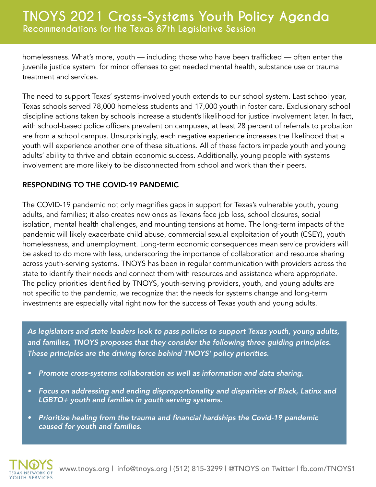homelessness. What's more, youth — including those who have been trafficked — often enter the juvenile justice system for minor offenses to get needed mental health, substance use or trauma treatment and services.

The need to support Texas' systems-involved youth extends to our school system. Last school year, Texas schools served 78,000 homeless students and 17,000 youth in foster care. Exclusionary school discipline actions taken by schools increase a student's likelihood for justice involvement later. In fact, with school-based police officers prevalent on campuses, at least 28 percent of referrals to probation are from a school campus. Unsurprisingly, each negative experience increases the likelihood that a youth will experience another one of these situations. All of these factors impede youth and young adults' ability to thrive and obtain economic success. Additionally, young people with systems involvement are more likely to be disconnected from school and work than their peers.

### RESPONDING TO THE COVID-19 PANDEMIC

The COVID-19 pandemic not only magnifies gaps in support for Texas's vulnerable youth, young adults, and families; it also creates new ones as Texans face job loss, school closures, social isolation, mental health challenges, and mounting tensions at home. The long-term impacts of the pandemic will likely exacerbate child abuse, commercial sexual exploitation of youth (CSEY), youth homelessness, and unemployment. Long-term economic consequences mean service providers will be asked to do more with less, underscoring the importance of collaboration and resource sharing across youth-serving systems. TNOYS has been in regular communication with providers across the state to identify their needs and connect them with resources and assistance where appropriate. The policy priorities identified by TNOYS, youth-serving providers, youth, and young adults are not specific to the pandemic, we recognize that the needs for systems change and long-term investments are especially vital right now for the success of Texas youth and young adults.

*As legislators and state leaders look to pass policies to support Texas youth, young adults, and families, TNOYS proposes that they consider the following three guiding principles. These principles are the driving force behind TNOYS' policy priorities.* 

- *• Promote cross-systems collaboration as well as information and data sharing.*
- *• Focus on addressing and ending disproportionality and disparities of Black, Latinx and LGBTQ+ youth and families in youth serving systems.*
- *•* Prioritize healing from the trauma and financial hardships the Covid-19 pandemic *caused for youth and families.*

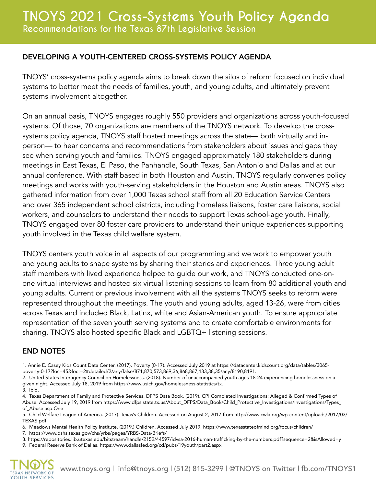#### DEVELOPING A YOUTH-CENTERED CROSS-SYSTEMS POLICY AGENDA

TNOYS' cross-systems policy agenda aims to break down the silos of reform focused on individual systems to better meet the needs of families, youth, and young adults, and ultimately prevent systems involvement altogether.

On an annual basis, TNOYS engages roughly 550 providers and organizations across youth-focused systems. Of those, 70 organizations are members of the TNOYS network. To develop the crosssystems policy agenda, TNOYS staff hosted meetings across the state— both virtually and inperson— to hear concerns and recommendations from stakeholders about issues and gaps they see when serving youth and families. TNOYS engaged approximately 180 stakeholders during meetings in East Texas, El Paso, the Panhandle, South Texas, San Antonio and Dallas and at our annual conference. With staff based in both Houston and Austin, TNOYS regularly convenes policy meetings and works with youth-serving stakeholders in the Houston and Austin areas. TNOYS also gathered information from over 1,000 Texas school staff from all 20 Education Service Centers and over 365 independent school districts, including homeless liaisons, foster care liaisons, social workers, and counselors to understand their needs to support Texas school-age youth. Finally, TNOYS engaged over 80 foster care providers to understand their unique experiences supporting youth involved in the Texas child welfare system.

TNOYS centers youth voice in all aspects of our programming and we work to empower youth and young adults to shape systems by sharing their stories and experiences. Three young adult staff members with lived experience helped to guide our work, and TNOYS conducted one-onone virtual interviews and hosted six virtual listening sessions to learn from 80 additional youth and young adults. Current or previous involvement with all the systems TNOYS seeks to reform were represented throughout the meetings. The youth and young adults, aged 13-26, were from cities across Texas and included Black, Latinx, white and Asian-American youth. To ensure appropriate representation of the seven youth serving systems and to create comfortable environments for sharing, TNOYS also hosted specific Black and LGBTQ+ listening sessions.

#### END NOTES

- 1. Annie E. Casey Kids Count Data Center. (2017). Poverty (0-17). Accessed July 2019 at https://datacenter.kidscount.org/data/tables/3065 poverty-0-17?loc=45&loct=2#detailed/2/any/false/871,870,573,869,36,868,867,133,38,35/any/8190,8191.
- 2. United States Interagency Council on Homelessness. (2018). Number of unaccompanied youth ages 18-24 experiencing homelessness on a given night. Accessed July 18, 2019 from https://www.usich.gov/homelessness-statistics/tx. 3. Ibid.
- 4. Texas Department of Family and Protective Services. DFPS Data Book. (2019). CPI Completed Investigations: Alleged & Confirmed Types of Abuse. Accessed July 19, 2019 from https://www.dfps.state.tx.us/About\_DFPS/Data\_Book/Child\_Protective\_Investigations/Investigations/Types\_ of\_Abuse.asp.One

5. Child Welfare League of America. (2017). Texas's Children. Accessed on August 2, 2017 from http://www.cwla.org/wp-content/uploads/2017/03/ TEXAS.pdf.

- 6. Meadows Mental Health Policy Institute. (2019.) Children. Accessed July 2019. https://www.texasstateofmind.org/focus/children/
- 7. https://www.dshs.texas.gov/chs/yrbs/pages/YRBS-Data-Briefs/

8. https://repositories.lib.utexas.edu/bitstream/handle/2152/44597/idvsa-2016-human-trafficking-by-the-numbers.pdf?sequence=2&isAllowed=y

9. Federal Reserve Bank of Dallas. https://www.dallasfed.org/cd/pubs/19youth/part2.aspx

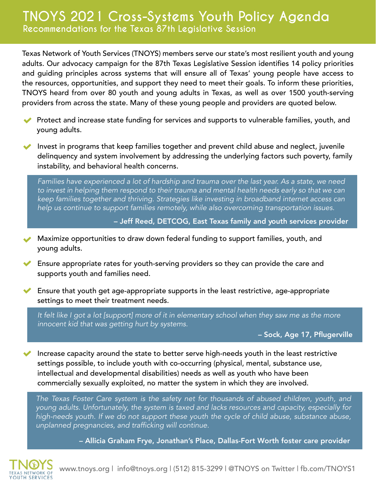Texas Network of Youth Services (TNOYS) members serve our state's most resilient youth and young adults. Our advocacy campaign for the 87th Texas Legislative Session identifies 14 policy priorities and guiding principles across systems that will ensure all of Texas' young people have access to the resources, opportunities, and support they need to meet their goals. To inform these priorities, TNOYS heard from over 80 youth and young adults in Texas, as well as over 1500 youth-serving providers from across the state. Many of these young people and providers are quoted below.

- **Protect and increase state funding for services and supports to vulnerable families, youth, and** young adults.
- Invest in programs that keep families together and prevent child abuse and neglect, juvenile delinquency and system involvement by addressing the underlying factors such poverty, family instability, and behavioral health concerns.

Families have experienced a lot of hardship and trauma over the last year. As a state, we need to invest in helping them respond to their trauma and mental health needs early so that we can keep families together and thriving. Strategies like investing in broadband internet access can help us continue to support families remotely, while also overcoming transportation issues.

– Jeff Reed, DETCOG, East Texas family and youth services provider

- Maximize opportunities to draw down federal funding to support families, youth, and young adults.
- Ensure appropriate rates for youth-serving providers so they can provide the care and supports youth and families need.
- $\blacktriangleright$  Ensure that youth get age-appropriate supports in the least restrictive, age-appropriate settings to meet their treatment needs.

It felt like I got a lot [support] more of it in elementary school when they saw me as the more innocent kid that was getting hurt by systems.

– Sock, Age 17, Pflugerville

Increase capacity around the state to better serve high-needs youth in the least restrictive settings possible, to include youth with co-occurring (physical, mental, substance use, intellectual and developmental disabilities) needs as well as youth who have been commercially sexually exploited, no matter the system in which they are involved.

The Texas Foster Care system is the safety net for thousands of abused children, youth, and young adults. Unfortunately, the system is taxed and lacks resources and capacity, especially for high-needs youth. If we do not support these youth the cycle of child abuse, substance abuse, unplanned pregnancies, and trafficking will continue.

– Allicia Graham Frye, Jonathan's Place, Dallas-Fort Worth foster care provider